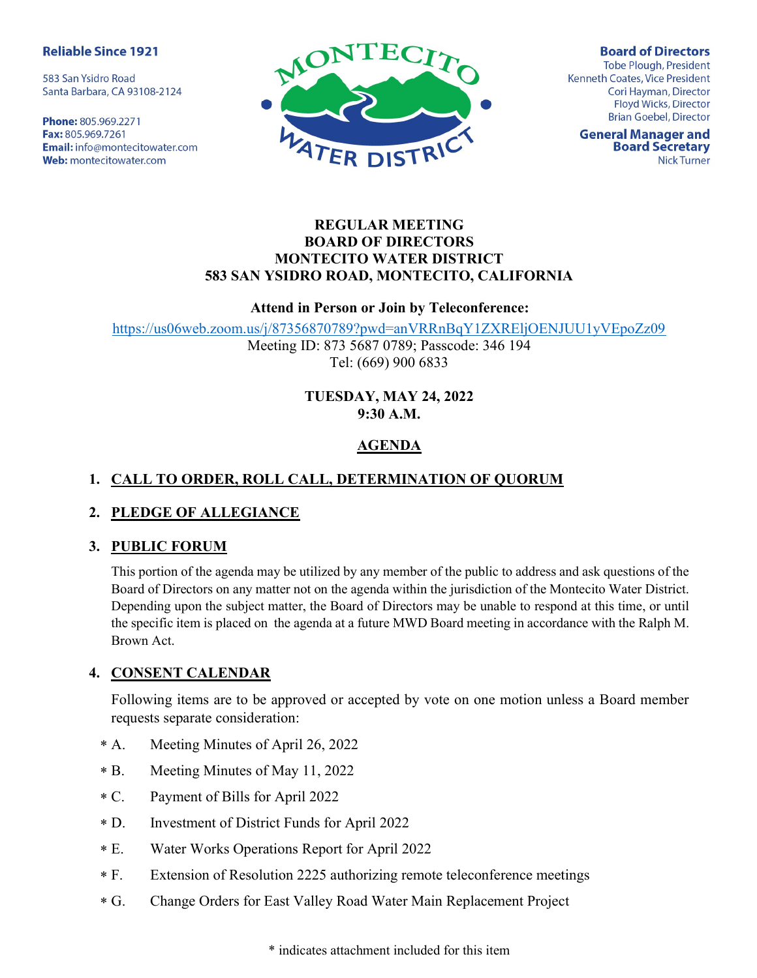#### **Reliable Since 1921**

583 San Ysidro Road Santa Barbara, CA 93108-2124

Phone: 805.969.2271 Fax: 805.969.7261 **Email:** info@montecitowater.com Web: montecitowater.com



**Board of Directors Tobe Plough, President** Kenneth Coates, Vice President Cori Hayman, Director Floyd Wicks, Director **Brian Goebel, Director** 

**General Manager and Board Secretary Nick Turner** 

#### REGULAR MEETING BOARD OF DIRECTORS MONTECITO WATER DISTRICT 583 SAN YSIDRO ROAD, MONTECITO, CALIFORNIA

#### Attend in Person or Join by Teleconference:

https://us06web.zoom.us/j/87356870789?pwd=anVRRnBqY1ZXREljOENJUU1yVEpoZz09

Meeting ID: 873 5687 0789; Passcode: 346 194 Tel: (669) 900 6833

#### TUESDAY, MAY 24, 2022 9:30 A.M.

# AGENDA

# 1. CALL TO ORDER, ROLL CALL, DETERMINATION OF QUORUM

## 2. PLEDGE OF ALLEGIANCE

#### 3. PUBLIC FORUM

This portion of the agenda may be utilized by any member of the public to address and ask questions of the Board of Directors on any matter not on the agenda within the jurisdiction of the Montecito Water District. Depending upon the subject matter, the Board of Directors may be unable to respond at this time, or until the specific item is placed on the agenda at a future MWD Board meeting in accordance with the Ralph M. Brown Act.

## 4. CONSENT CALENDAR

Following items are to be approved or accepted by vote on one motion unless a Board member requests separate consideration:

- Meeting Minutes of April 26, 2022  $* A.$
- Meeting Minutes of May 11, 2022  $* B.$
- Payment of Bills for April 2022  $*$  C.
- Investment of District Funds for April 2022  $*$  D.
- Water Works Operations Report for April 2022  $*E$ .
- Extension of Resolution 2225 authorizing remote teleconference meetings  $*$  F.
- Change Orders for East Valley Road Water Main Replacement Project  $*G.$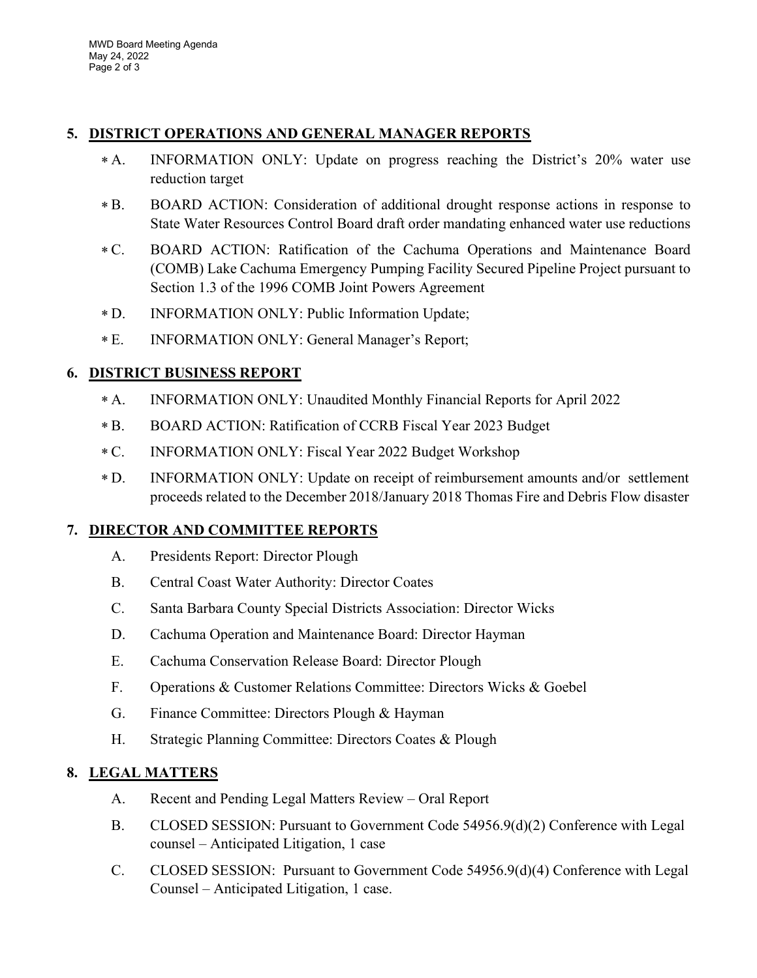## 5. DISTRICT OPERATIONS AND GENERAL MANAGER REPORTS

- INFORMATION ONLY: Update on progress reaching the District's 20% water use reduction target  $* A.$
- BOARD ACTION: Consideration of additional drought response actions in response to State Water Resources Control Board draft order mandating enhanced water use reductions  $* B.$
- BOARD ACTION: Ratification of the Cachuma Operations and Maintenance Board (COMB) Lake Cachuma Emergency Pumping Facility Secured Pipeline Project pursuant to Section 1.3 of the 1996 COMB Joint Powers Agreement  $*C.$
- INFORMATION ONLY: Public Information Update;  $*D.$
- INFORMATION ONLY: General Manager's Report;  $*E.$

# 6. DISTRICT BUSINESS REPORT

- INFORMATION ONLY: Unaudited Monthly Financial Reports for April 2022  $* A.$
- BOARD ACTION: Ratification of CCRB Fiscal Year 2023 Budget  $* B.$
- INFORMATION ONLY: Fiscal Year 2022 Budget Workshop  $*C.$
- D. INFORMATION ONLY: Update on receipt of reimbursement amounts and/or settlement proceeds related to the December 2018/January 2018 Thomas Fire and Debris Flow disaster  $*D.$

## 7. DIRECTOR AND COMMITTEE REPORTS

- A. Presidents Report: Director Plough
- B. Central Coast Water Authority: Director Coates
- C. Santa Barbara County Special Districts Association: Director Wicks
- D. Cachuma Operation and Maintenance Board: Director Hayman
- E. Cachuma Conservation Release Board: Director Plough
- F. Operations & Customer Relations Committee: Directors Wicks & Goebel
- G. Finance Committee: Directors Plough & Hayman
- H. Strategic Planning Committee: Directors Coates & Plough

## 8. LEGAL MATTERS

- A. Recent and Pending Legal Matters Review Oral Report
- B. CLOSED SESSION: Pursuant to Government Code 54956.9(d)(2) Conference with Legal counsel – Anticipated Litigation, 1 case
- C. CLOSED SESSION: Pursuant to Government Code 54956.9(d)(4) Conference with Legal Counsel – Anticipated Litigation, 1 case.